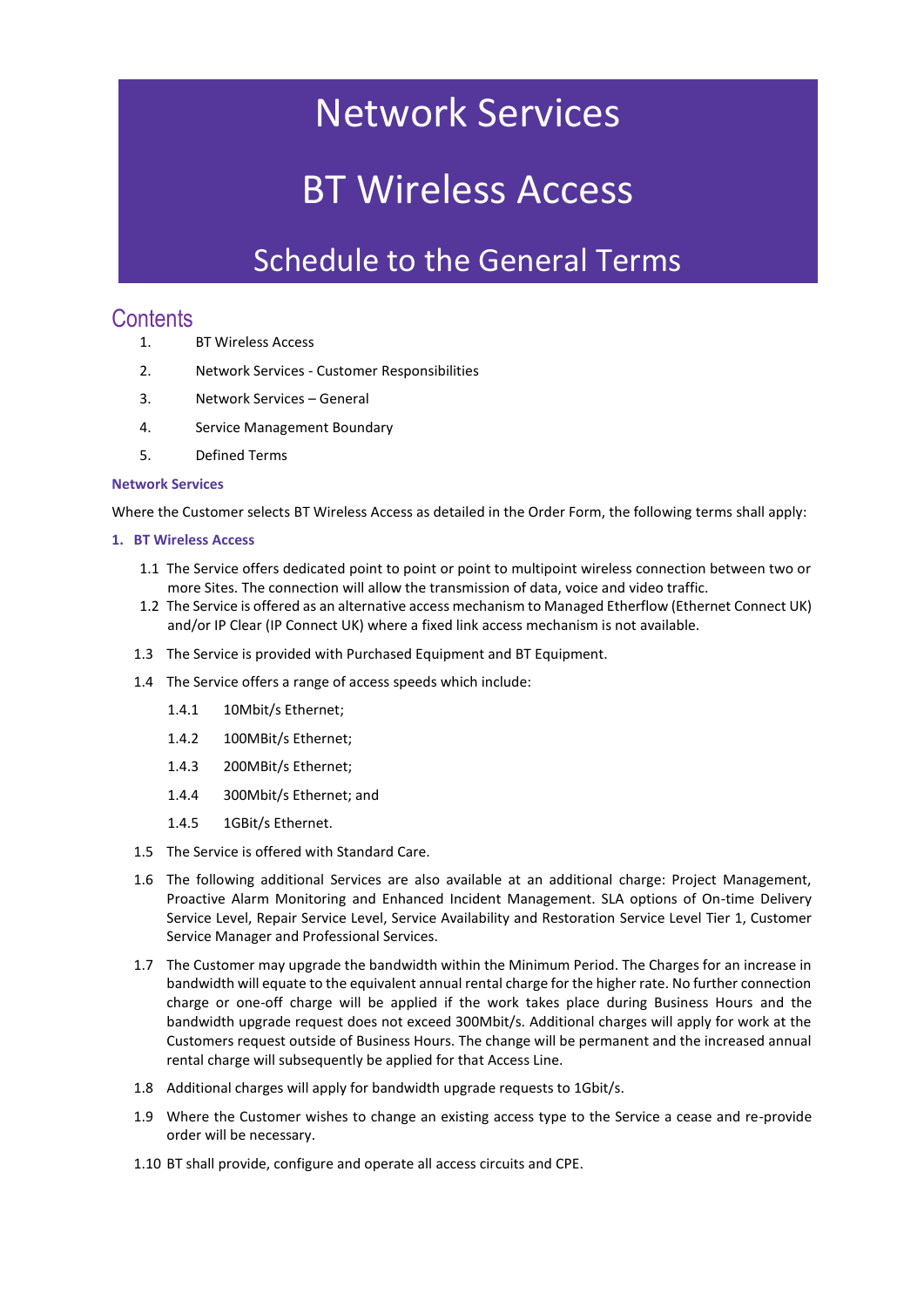## Network Services

# BT Wireless Access

### Schedule to the General Terms

### **Contents**

- 1. BT Wireless Access
- 2. Network Services Customer Responsibilities
- 3. Network Services General
- 4. Service Management Boundary
- 5. Defined Terms

#### **Network Services**

Where the Customer selects BT Wireless Access as detailed in the Order Form, the following terms shall apply:

#### **1. BT Wireless Access**

- 1.1 The Service offers dedicated point to point or point to multipoint wireless connection between two or more Sites. The connection will allow the transmission of data, voice and video traffic.
- 1.2 The Service is offered as an alternative access mechanism to Managed Etherflow (Ethernet Connect UK) and/or IP Clear (IP Connect UK) where a fixed link access mechanism is not available.
- 1.3 The Service is provided with Purchased Equipment and BT Equipment.
- 1.4 The Service offers a range of access speeds which include:
	- 1.4.1 10Mbit/s Ethernet;
	- 1.4.2 100MBit/s Ethernet;
	- 1.4.3 200MBit/s Ethernet;
	- 1.4.4 300Mbit/s Ethernet; and
	- 1.4.5 1GBit/s Ethernet.
- 1.5 The Service is offered with Standard Care.
- 1.6 The following additional Services are also available at an additional charge: Project Management, Proactive Alarm Monitoring and Enhanced Incident Management. SLA options of On-time Delivery Service Level, Repair Service Level, Service Availability and Restoration Service Level Tier 1, Customer Service Manager and Professional Services.
- 1.7 The Customer may upgrade the bandwidth within the Minimum Period. The Charges for an increase in bandwidth will equate to the equivalent annual rental charge for the higher rate. No further connection charge or one-off charge will be applied if the work takes place during Business Hours and the bandwidth upgrade request does not exceed 300Mbit/s. Additional charges will apply for work at the Customers request outside of Business Hours. The change will be permanent and the increased annual rental charge will subsequently be applied for that Access Line.
- 1.8 Additional charges will apply for bandwidth upgrade requests to 1Gbit/s.
- 1.9 Where the Customer wishes to change an existing access type to the Service a cease and re-provide order will be necessary.
- 1.10 BT shall provide, configure and operate all access circuits and CPE.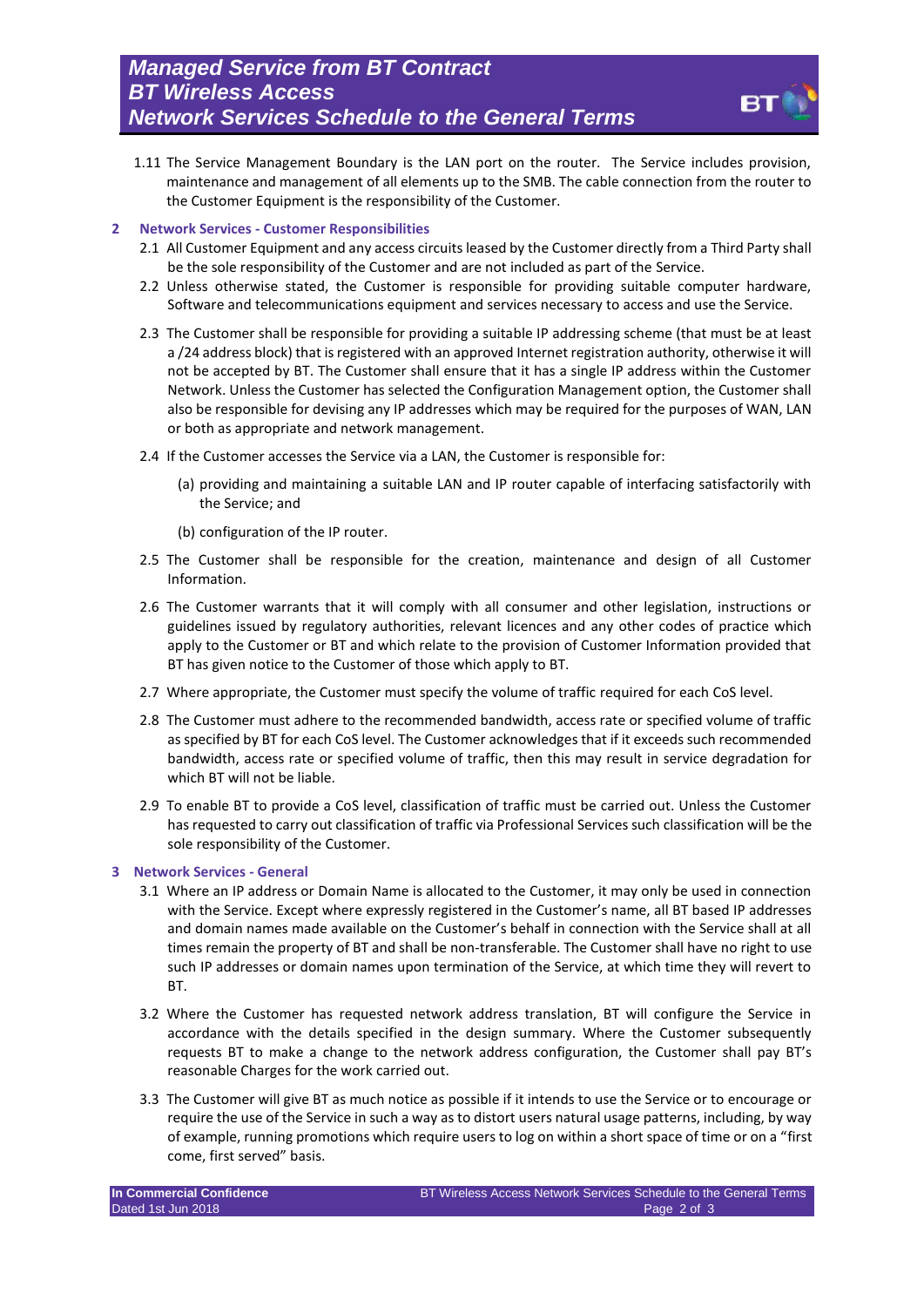1.11 The Service Management Boundary is the LAN port on the router. The Service includes provision, maintenance and management of all elements up to the SMB. The cable connection from the router to the Customer Equipment is the responsibility of the Customer.

#### **2 Network Services - Customer Responsibilities**

- 2.1 All Customer Equipment and any access circuits leased by the Customer directly from a Third Party shall be the sole responsibility of the Customer and are not included as part of the Service.
- 2.2 Unless otherwise stated, the Customer is responsible for providing suitable computer hardware, Software and telecommunications equipment and services necessary to access and use the Service.
- 2.3 The Customer shall be responsible for providing a suitable IP addressing scheme (that must be at least a /24 address block) that is registered with an approved Internet registration authority, otherwise it will not be accepted by BT. The Customer shall ensure that it has a single IP address within the Customer Network. Unless the Customer has selected the Configuration Management option, the Customer shall also be responsible for devising any IP addresses which may be required for the purposes of WAN, LAN or both as appropriate and network management.
- 2.4 If the Customer accesses the Service via a LAN, the Customer is responsible for:
	- (a) providing and maintaining a suitable LAN and IP router capable of interfacing satisfactorily with the Service; and
	- (b) configuration of the IP router.
- 2.5 The Customer shall be responsible for the creation, maintenance and design of all Customer Information.
- 2.6 The Customer warrants that it will comply with all consumer and other legislation, instructions or guidelines issued by regulatory authorities, relevant licences and any other codes of practice which apply to the Customer or BT and which relate to the provision of Customer Information provided that BT has given notice to the Customer of those which apply to BT.
- 2.7 Where appropriate, the Customer must specify the volume of traffic required for each CoS level.
- 2.8 The Customer must adhere to the recommended bandwidth, access rate or specified volume of traffic as specified by BT for each CoS level. The Customer acknowledges that if it exceeds such recommended bandwidth, access rate or specified volume of traffic, then this may result in service degradation for which BT will not be liable.
- 2.9 To enable BT to provide a CoS level, classification of traffic must be carried out. Unless the Customer has requested to carry out classification of traffic via Professional Services such classification will be the sole responsibility of the Customer.

#### **3 Network Services - General**

- 3.1 Where an IP address or Domain Name is allocated to the Customer, it may only be used in connection with the Service. Except where expressly registered in the Customer's name, all BT based IP addresses and domain names made available on the Customer's behalf in connection with the Service shall at all times remain the property of BT and shall be non-transferable. The Customer shall have no right to use such IP addresses or domain names upon termination of the Service, at which time they will revert to BT.
- 3.2 Where the Customer has requested network address translation, BT will configure the Service in accordance with the details specified in the design summary. Where the Customer subsequently requests BT to make a change to the network address configuration, the Customer shall pay BT's reasonable Charges for the work carried out.
- 3.3 The Customer will give BT as much notice as possible if it intends to use the Service or to encourage or require the use of the Service in such a way as to distort users natural usage patterns, including, by way of example, running promotions which require users to log on within a short space of time or on a "first come, first served" basis.